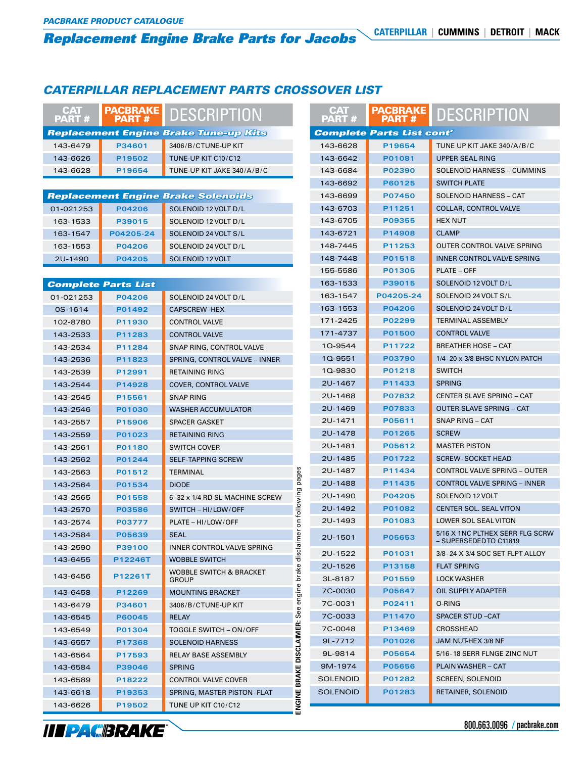# **Replacement Engine Brake Parts for Jacobs** CATERPILLAR | CUMMINS | DETROIT | MACK

## *CATERPILLAR REPLACEMENT PARTS CROSSOVER LIST*

| <b>CAT</b><br><b>PART#</b>                   |                            | PACBRAKE DESCRIPTION                               |                                         | <b>CAT</b><br><b>PART#</b>       | <b>PACBRAKE</b><br><b>PART#</b> | <b>DESCRIPTION</b>                                        |  |
|----------------------------------------------|----------------------------|----------------------------------------------------|-----------------------------------------|----------------------------------|---------------------------------|-----------------------------------------------------------|--|
| <b>Replacement Engine Brake Tune-up Kits</b> |                            |                                                    |                                         | <b>Complete Parts List cont'</b> |                                 |                                                           |  |
| 143-6479                                     | P34601                     | 3406/B/CTUNE-UP KIT                                |                                         | 143-6628                         | P19654                          | TUNE UP KIT JAKE 340/A/B/C                                |  |
| 143-6626                                     | P19502                     | TUNE-UP KIT C10/C12                                |                                         | 143-6642                         | P01081                          | <b>UPPER SEAL RING</b>                                    |  |
| 143-6628                                     | P19654                     | TUNE-UP KIT JAKE 340/A/B/C                         |                                         | 143-6684                         | P02390                          | <b>SOLENOID HARNESS - CUMMINS</b>                         |  |
|                                              |                            |                                                    |                                         | 143-6692                         | P60125                          | <b>SWITCH PLATE</b>                                       |  |
|                                              |                            | <b>Replacement Engine Brake Solenoids</b>          |                                         | 143-6699                         | P07450                          | SOLENOID HARNESS - CAT                                    |  |
| 01-021253                                    | P04206                     | SOLENOID 12 VOLT D/L                               |                                         | 143-6703                         | P11251                          | <b>COLLAR, CONTROL VALVE</b>                              |  |
| 163-1533                                     | P39015                     | SOLENOID 12 VOLT D/L                               |                                         | 143-6705                         | P09355                          | <b>HEX NUT</b>                                            |  |
| 163-1547                                     | P04205-24                  | SOLENOID 24 VOLT S/L                               |                                         | 143-6721                         | P14908                          | <b>CLAMP</b>                                              |  |
| 163-1553                                     | P04206                     | SOLENOID 24 VOLT D/L                               |                                         | 148-7445                         | P11253                          | OUTER CONTROL VALVE SPRING                                |  |
| 2U-1490                                      | P04205                     | SOLENOID 12 VOLT                                   |                                         | 148-7448                         | P01518                          | <b>INNER CONTROL VALVE SPRING</b>                         |  |
|                                              |                            |                                                    |                                         | 155-5586                         | P01305                          | <b>PLATE - OFF</b>                                        |  |
|                                              | <b>Complete Parts List</b> |                                                    |                                         | 163-1533                         | P39015                          | SOLENOID 12 VOLT D/L                                      |  |
| 01-021253                                    | P04206                     | SOLENOID 24 VOLT D/L                               |                                         | 163-1547                         | P04205-24                       | SOLENOID 24 VOLT S/L                                      |  |
| 0S-1614                                      | P01492                     | <b>CAPSCREW-HEX</b>                                |                                         | 163-1553                         | P04206                          | SOLENOID 24 VOLT D/L                                      |  |
| 102-8780                                     | P11930                     | <b>CONTROL VALVE</b>                               |                                         | 171-2425                         | P02299                          | <b>TERMINAL ASSEMBLY</b>                                  |  |
| 143-2533                                     | P11283                     | <b>CONTROL VALVE</b>                               |                                         | 171-4737                         | P01500                          | <b>CONTROL VALVE</b>                                      |  |
| 143-2534                                     | P11284                     | SNAP RING, CONTROL VALVE                           |                                         | 1Q-9544                          | P11722                          | <b>BREATHER HOSE - CAT</b>                                |  |
| 143-2536                                     | P11823                     | SPRING, CONTROL VALVE - INNER                      |                                         | 1Q-9551                          | P03790                          | 1/4-20 x 3/8 BHSC NYLON PATCH                             |  |
| 143-2539                                     | P12991                     | <b>RETAINING RING</b>                              |                                         | 1Q-9830                          | P01218                          | <b>SWITCH</b>                                             |  |
| 143-2544                                     | P14928                     | COVER, CONTROL VALVE                               |                                         | 2U-1467                          | P11433                          | <b>SPRING</b>                                             |  |
| 143-2545                                     | P15561                     | <b>SNAP RING</b>                                   |                                         | 2U-1468                          | P07832                          | <b>CENTER SLAVE SPRING - CAT</b>                          |  |
| 143-2546                                     | P01030                     | <b>WASHER ACCUMULATOR</b>                          |                                         | 2U-1469                          | P07833                          | <b>OUTER SLAVE SPRING - CAT</b>                           |  |
| 143-2557                                     | P15906                     | <b>SPACER GASKET</b>                               |                                         | 2U-1471                          | P05611                          | SNAP RING - CAT                                           |  |
| 143-2559                                     | P01023                     | <b>RETAINING RING</b>                              |                                         | 2U-1478                          | P01265                          | <b>SCREW</b>                                              |  |
| 143-2561                                     | P01180                     | <b>SWITCH COVER</b>                                |                                         | 2U-1481                          | P05612                          | <b>MASTER PISTON</b>                                      |  |
| 143-2562                                     | P01244                     | <b>SELF-TAPPING SCREW</b>                          |                                         | 2U-1485                          | P01722                          | <b>SCREW-SOCKET HEAD</b>                                  |  |
| 143-2563                                     | P01512                     | <b>TERMINAL</b>                                    |                                         | 2U-1487                          | P11434                          | <b>CONTROL VALVE SPRING - OUTER</b>                       |  |
| 143-2564                                     | P01534                     | <b>DIODE</b>                                       | pages                                   | 2U-1488                          | P11435                          | CONTROL VALVE SPRING - INNER                              |  |
| 143-2565                                     | P01558                     | 6-32 x 1/4 RD SL MACHINE SCREW                     |                                         | 2U-1490                          | P04205                          | SOLENOID 12 VOLT                                          |  |
| 143-2570                                     | P03586                     | SWITCH - HI/LOW/OFF                                | following                               | 2U-1492                          | P01082                          | CENTER SOL. SEAL VITON                                    |  |
| 143-2574                                     | P03777                     | PLATE - HI/LOW/OFF                                 | ξ                                       | 2U-1493                          | P01083                          | LOWER SOL SEAL VITON                                      |  |
| 143-2584                                     | P05639                     | <b>SEAL</b>                                        |                                         | 2U-1501                          | P05653                          | 5/16 X 1NC PLTHEX SERR FLG SCRW<br>– SUPERSEDED TO C11819 |  |
| 143-2590                                     | P39100                     | INNER CONTROL VALVE SPRING                         |                                         | 2U-1522                          | P01031                          | 3/8-24 X 3/4 SOC SET FLPT ALLOY                           |  |
| 143-6455                                     | P12246T                    | <b>WOBBLE SWITCH</b>                               |                                         | 2U-1526                          | P13158                          | <b>FLAT SPRING</b>                                        |  |
| 143-6456                                     | P12261T                    | <b>WOBBLE SWITCH &amp; BRACKET</b><br><b>GROUP</b> | DISCLAIMER: See engine brake disclaimer | 3L-8187                          | P01559                          | <b>LOCK WASHER</b>                                        |  |
| 143-6458                                     | P12269                     | <b>MOUNTING BRACKET</b>                            |                                         | 7C-0030                          | P05647                          | OIL SUPPLY ADAPTER                                        |  |
| 143-6479                                     | P34601                     | 3406/B/CTUNE-UP KIT                                |                                         | 7C-0031                          | P02411                          | O-RING                                                    |  |
| 143-6545                                     | P60045                     | <b>RELAY</b>                                       |                                         | 7C-0033                          | P11470                          | <b>SPACER STUD-CAT</b>                                    |  |
| 143-6549                                     | P01304                     | TOGGLE SWITCH - ON/OFF                             |                                         | 7C-0048                          | P13469                          | CROSSHEAD                                                 |  |
| 143-6557                                     | P17368                     | <b>SOLENOID HARNESS</b>                            |                                         | 9L-7712                          | P01026                          | JAM NUT-HEX 3/8 NF                                        |  |
| 143-6564                                     | P17593                     | RELAY BASE ASSEMBLY                                |                                         | 9L-9814                          | P05654                          | 5/16-18 SERR FLNGE ZINC NUT                               |  |
| 143-6584                                     | P39046                     | <b>SPRING</b>                                      |                                         | 9M-1974                          | P05656                          | <b>PLAIN WASHER - CAT</b>                                 |  |
| 143-6589                                     | P18222                     | <b>CONTROL VALVE COVER</b>                         |                                         | <b>SOLENOID</b>                  | P01282                          | <b>SCREEN, SOLENOID</b>                                   |  |
| 143-6618                                     | P19353                     | SPRING, MASTER PISTON-FLAT                         |                                         | <b>SOLENOID</b>                  | P01283                          | RETAINER, SOLENOID                                        |  |
| 143-6626                                     | P19502                     | TUNE UP KIT C10/C12                                | ENGINE BRAKE                            |                                  |                                 |                                                           |  |

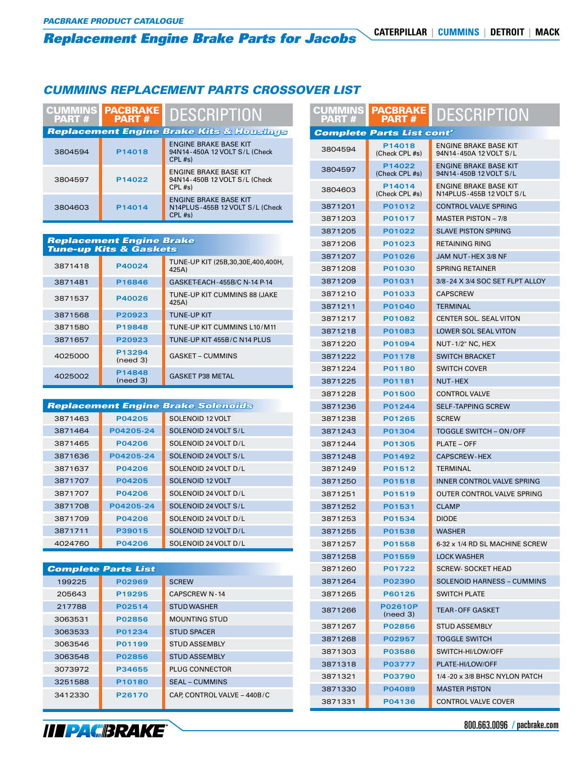# *Replacement Engine Brake Parts for Jacobs* **eplacement Engine Brake Parts for Jacobs Caterpillar | cummins | detroit | mack<br>Ummins Replacement parts crossover list<br>Part # Peart # Part # Part # Part # PART # PART # PART # PART # PART # PART # PART # PART # PART # PA**

#### *CUMMINS REPLACEMENT PARTS CROSSOVER LIST*

| <b>CUMMINS</b><br><b>PART#</b> | <b>PACBRAKE</b><br><b>PART#</b> | <b>DESCRIPTION</b>                                                         | PART         |
|--------------------------------|---------------------------------|----------------------------------------------------------------------------|--------------|
|                                |                                 | <b>Replacement Engine Brake Kits &amp; Housings</b>                        | <b>Compl</b> |
| 3804594                        | P14018                          | <b>ENGINE BRAKE BASE KIT</b><br>94N14-450A 12 VOLT S/L (Check<br>$CPL$ #s) | 380459       |
|                                | <b>ENGINE BRAKE BASE KIT</b>    |                                                                            | 380459       |
| 3804597                        | P14022                          | 94N14-450B 12 VOLT S/L (Check<br>$CPL$ #s)                                 | 380460       |
|                                |                                 | <b>ENGINE BRAKE BASE KIT</b>                                               | 387120       |
| 3804603                        | P14014                          | N14PLUS-455B 12 VOLT S/L (Check<br>$CPL$ #s)                               |              |
|                                |                                 |                                                                            | 387120       |

#### *Replacement Engine Brake Tune-up Kits & Gaskets*

| 3871418 | P40024             | TUNE-UP KIT (25B,30,30E,400,400H,<br>425A) |
|---------|--------------------|--------------------------------------------|
| 3871481 | P16846             | GASKET-EACH-455B/C N-14 P-14               |
| 3871537 | P40026             | TUNE-UP KIT CUMMINS 88 (JAKE<br>425A)      |
| 3871568 | P20923             | <b>TUNE-UP KIT</b>                         |
| 3871580 | P19848             | TUNE-UP KIT CUMMINS L10/M11                |
| 3871657 | P20923             | TUNE-UP KIT 455B/C N14 PLUS                |
| 4025000 | P13294<br>(need 3) | <b>GASKET - CUMMINS</b>                    |
| 4025002 | P14848<br>(need 3) | <b>GASKET P38 METAL</b>                    |

#### *Replacement Engine Brake Solenoids*

| 3871463 | P04205    | SOLENOID 12 VOLT     |
|---------|-----------|----------------------|
| 3871464 | P04205-24 | SOLENOID 24 VOLT S/L |
| 3871465 | P04206    | SOLENOID 24 VOLT D/L |
| 3871636 | P04205-24 | SOLENOID 24 VOLT S/L |
| 3871637 | P04206    | SOLENOID 24 VOLT D/L |
| 3871707 | P04205    | SOLENOID 12 VOLT     |
| 3871707 | P04206    | SOLENOID 24 VOLT D/L |
| 3871708 | P04205-24 | SOLENOID 24 VOLT S/L |
| 3871709 | P04206    | SOLENOID 24 VOLT D/L |
| 3871711 | P39015    | SOLENOID 12 VOLT D/L |
| 4024760 | P04206    | SOLENOID 24 VOLT D/L |

| <b>Complete Parts List</b> |        |                             |  |  |  |
|----------------------------|--------|-----------------------------|--|--|--|
| 199225                     | P02969 | <b>SCREW</b>                |  |  |  |
| 205643                     | P19295 | <b>CAPSCREW N-14</b>        |  |  |  |
| 217788                     | P02514 | <b>STUD WASHER</b>          |  |  |  |
| 3063531                    | P02856 | <b>MOUNTING STUD</b>        |  |  |  |
| 3063533                    | P01234 | <b>STUD SPACER</b>          |  |  |  |
| 3063546                    | P01199 | <b>STUD ASSEMBLY</b>        |  |  |  |
| 3063548                    | P02856 | <b>STUD ASSEMBLY</b>        |  |  |  |
| 3073972                    | P34655 | <b>PLUG CONNECTOR</b>       |  |  |  |
| 3251588                    | P10180 | <b>SEAL - CUMMINS</b>       |  |  |  |
| 3412330                    | P26170 | CAP. CONTROL VALVE - 440B/C |  |  |  |

| PART    | <b>CUMMINS PACBRAKE</b><br>PART # | <b>DESCRIPTION</b>                                     |
|---------|-----------------------------------|--------------------------------------------------------|
|         | <b>Complete Parts List cont'</b>  |                                                        |
| 3804594 | P14018<br>(Check CPL #s)          | ENGINE BRAKE BASE KIT<br>94N14-450A 12 VOLT S/L        |
| 3804597 | P14022<br>(Check CPL #s)          | <b>ENGINE BRAKE BASE KIT</b><br>94N14-450B 12 VOLT S/L |
| 3804603 | P14014<br>(Check CPL #s)          | ENGINE BRAKE BASE KIT<br>N14PLUS-455B 12 VOLT S/L      |
| 3871201 | P01012                            | <b>CONTROL VALVE SPRING</b>                            |
| 3871203 | P01017                            | <b>MASTER PISTON - 7/8</b>                             |
| 3871205 | P01022                            | <b>SLAVE PISTON SPRING</b>                             |
| 3871206 | P01023                            | <b>RETAINING RING</b>                                  |
| 3871207 | <b>P01026</b>                     | JAM NUT-HEX 3/8 NF                                     |
| 3871208 | <b>P01030</b>                     | <b>SPRING RETAINER</b>                                 |
| 3871209 | P01031                            | 3/8-24 X 3/4 SOC SET FLPT ALLOY                        |
| 3871210 | P01033                            | <b>CAPSCREW</b>                                        |
| 3871211 | P01040                            | <b>TERMINAL</b>                                        |
| 3871217 | P01082                            | <b>CENTER SOL. SEAL VITON</b>                          |
| 3871218 | P01083                            | <b>LOWER SOL SEAL VITON</b>                            |
| 3871220 | <b>P01094</b>                     | NUT-1/2" NC, HEX                                       |
| 3871222 | P01178                            | <b>SWITCH BRACKET</b>                                  |
| 3871224 | P01180                            | <b>SWITCH COVER</b>                                    |
| 3871225 | P01181                            | <b>NUT-HEX</b>                                         |
| 3871228 | <b>P01500</b>                     | <b>CONTROL VALVE</b>                                   |
| 3871236 | P01244                            | <b>SELF-TAPPING SCREW</b>                              |
| 3871238 | <b>P01265</b>                     | <b>SCREW</b>                                           |
| 3871243 | P01304                            | TOGGLE SWITCH - ON/OFF                                 |
| 3871244 | P01305                            | <b>PLATE – OFF</b>                                     |
| 3871248 | P01492                            | <b>CAPSCREW-HEX</b>                                    |
| 3871249 | P01512                            | TERMINAL                                               |
| 3871250 | P01518                            | <b>INNER CONTROL VALVE SPRING</b>                      |
| 3871251 | P01519                            | OUTER CONTROL VALVE SPRING                             |
| 3871252 | P01531                            | <b>CLAMP</b>                                           |
| 3871253 | P01534                            | <b>DIODE</b>                                           |
| 3871255 | P01538                            | <b>WASHER</b>                                          |
| 3871257 | P01558                            | 6-32 x 1/4 RD SL MACHINE SCREW                         |
| 3871258 | P01559                            | <b>LOCK WASHER</b>                                     |
| 3871260 | P01722                            | <b>SCREW- SOCKET HEAD</b>                              |
| 3871264 | P02390                            | <b>SOLENOID HARNESS - CUMMINS</b>                      |
| 3871265 | P60125                            | <b>SWITCH PLATE</b>                                    |
| 3871266 | <b>P02610P</b><br>(need 3)        | <b>TEAR-OFF GASKET</b>                                 |
| 3871267 | P02856                            | <b>STUD ASSEMBLY</b>                                   |
| 3871268 | P02957                            | <b>TOGGLE SWITCH</b>                                   |
| 3871303 | P03586                            | SWITCH-HI/LOW/OFF                                      |
| 3871318 | P03777                            | PLATE-HI/LOW/OFF                                       |
| 3871321 | P03790                            | 1/4 - 20 x 3/8 BHSC NYLON PATCH                        |
| 3871330 | P04089                            | <b>MASTER PISTON</b>                                   |
| 3871331 | P04136                            | <b>CONTROL VALVE COVER</b>                             |

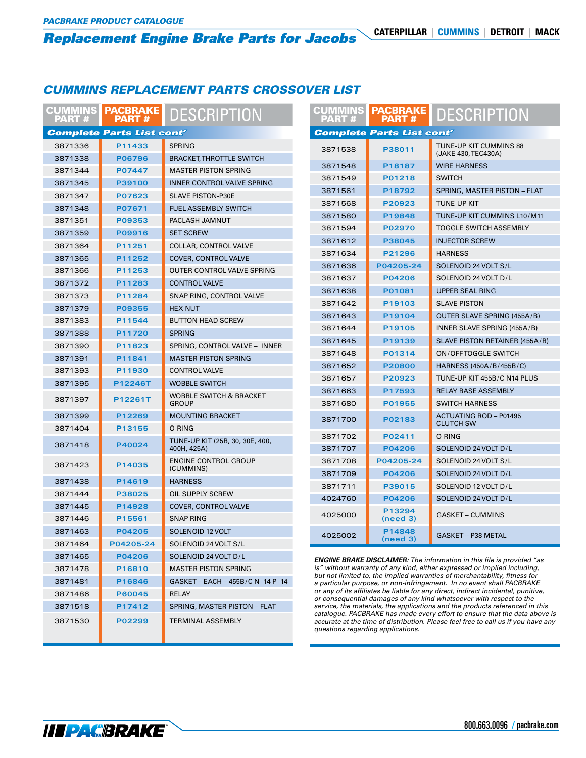## *CUMMINS REPLACEMENT PARTS CROSSOVER LIST*

| <b>CATERPILLAR</b><br><b>Replacement Engine Brake Parts for Jacobs</b> |                                  |                                                |                                   |                                                                                                                                                                 | <b>CUMMINS</b>                                    | <b>DETROIT</b> | <b>MACK</b> |
|------------------------------------------------------------------------|----------------------------------|------------------------------------------------|-----------------------------------|-----------------------------------------------------------------------------------------------------------------------------------------------------------------|---------------------------------------------------|----------------|-------------|
|                                                                        |                                  |                                                |                                   |                                                                                                                                                                 |                                                   |                |             |
|                                                                        |                                  |                                                |                                   |                                                                                                                                                                 |                                                   |                |             |
|                                                                        |                                  |                                                |                                   |                                                                                                                                                                 |                                                   |                |             |
| <b>CUMMINS REPLACEMENT PARTS CROSSOVER LIST</b>                        |                                  |                                                |                                   |                                                                                                                                                                 |                                                   |                |             |
|                                                                        |                                  |                                                |                                   |                                                                                                                                                                 |                                                   |                |             |
| <b>CUMMINS</b><br>PART #                                               | <b>PACBRAKE</b><br><b>PART#</b>  | <b>DESCRIPTION</b>                             | <b>CUMMINS</b><br>PART #          | <b>PACBRAKE</b><br><b>PART#</b>                                                                                                                                 | <b>DESCRIPTION</b>                                |                |             |
|                                                                        | <b>Complete Parts List cont'</b> |                                                |                                   | <b>Complete Parts List cont'</b>                                                                                                                                |                                                   |                |             |
| 3871336                                                                | P11433                           | <b>SPRING</b>                                  |                                   |                                                                                                                                                                 | TUNE-UP KIT CUMMINS 88                            |                |             |
| 3871338                                                                | P06796                           | <b>BRACKET, THROTTLE SWITCH</b>                | 3871538                           | P38011                                                                                                                                                          | (JAKE 430, TEC430A)                               |                |             |
| 3871344                                                                | P07447                           | <b>MASTER PISTON SPRING</b>                    | 3871548                           | P18187                                                                                                                                                          | <b>WIRE HARNESS</b>                               |                |             |
| 3871345                                                                | P39100                           | INNER CONTROL VALVE SPRING                     | 3871549                           | P01218                                                                                                                                                          | <b>SWITCH</b>                                     |                |             |
| 3871347                                                                | P07623                           | <b>SLAVE PISTON-P30E</b>                       | 3871561                           | P18792                                                                                                                                                          | SPRING, MASTER PISTON - FLAT                      |                |             |
| 3871348                                                                | P07671                           | <b>FUEL ASSEMBLY SWITCH</b>                    | 3871568                           | P20923                                                                                                                                                          | TUNE-UP KIT                                       |                |             |
| 3871351                                                                | P09353                           | PACLASH JAMNUT                                 | 3871580                           | P19848                                                                                                                                                          | TUNE-UP KIT CUMMINS L10/M11                       |                |             |
| 3871359                                                                | P09916                           | <b>SET SCREW</b>                               | 3871594                           | P02970                                                                                                                                                          | <b>TOGGLE SWITCH ASSEMBLY</b>                     |                |             |
| 3871364                                                                | P11251                           | COLLAR, CONTROL VALVE                          | 3871612                           | P38045                                                                                                                                                          | <b>INJECTOR SCREW</b>                             |                |             |
| 3871365                                                                | P11252                           | <b>COVER, CONTROL VALVE</b>                    | 3871634                           | P21296                                                                                                                                                          | <b>HARNESS</b>                                    |                |             |
| 3871366                                                                | P11253                           | OUTER CONTROL VALVE SPRING                     | 3871636                           | P04205-24                                                                                                                                                       | SOLENOID 24 VOLT S/L                              |                |             |
| 3871372                                                                | P11283                           | <b>CONTROL VALVE</b>                           | 3871637                           | P04206                                                                                                                                                          | SOLENOID 24 VOLT D/L                              |                |             |
| 3871373                                                                | P11284                           | SNAP RING, CONTROL VALVE                       | 3871638                           | P01081                                                                                                                                                          | <b>UPPER SEAL RING</b>                            |                |             |
| 3871379                                                                | P09355                           | <b>HEX NUT</b>                                 | 3871642                           | P19103                                                                                                                                                          | <b>SLAVE PISTON</b>                               |                |             |
| 3871383                                                                | P11544                           | <b>BUTTON HEAD SCREW</b>                       | 3871643                           | P19104                                                                                                                                                          | OUTER SLAVE SPRING (455A/B)                       |                |             |
| 3871388                                                                | P11720                           | <b>SPRING</b>                                  | 3871644                           | P19105                                                                                                                                                          | INNER SLAVE SPRING (455A/B)                       |                |             |
| 3871390                                                                | P11823                           | SPRING, CONTROL VALVE - INNER                  | 3871645                           | P19139                                                                                                                                                          | SLAVE PISTON RETAINER (455A/B)                    |                |             |
| 3871391                                                                | P11841                           | <b>MASTER PISTON SPRING</b>                    | 3871648                           | P01314                                                                                                                                                          | <b>ON/OFFTOGGLE SWITCH</b>                        |                |             |
| 3871393                                                                | P11930                           | <b>CONTROL VALVE</b>                           | 3871652                           | P20800                                                                                                                                                          | HARNESS (450A/B/455B/C)                           |                |             |
| 3871395                                                                | P12246T                          | <b>WOBBLE SWITCH</b>                           | 3871657                           | P20923                                                                                                                                                          | TUNE-UP KIT 455B/C N14 PLUS                       |                |             |
|                                                                        |                                  | <b>WOBBLE SWITCH &amp; BRACKET</b>             | 3871663                           | P17593                                                                                                                                                          | RELAY BASE ASSEMBLY                               |                |             |
| 3871397                                                                | P12261T                          | <b>GROUP</b>                                   | 3871680                           | P01955                                                                                                                                                          | <b>SWITCH HARNESS</b>                             |                |             |
| 3871399                                                                | P12269                           | <b>MOUNTING BRACKET</b>                        | 3871700                           | P02183                                                                                                                                                          | <b>ACTUATING ROD - P01495</b><br><b>CLUTCH SW</b> |                |             |
| 3871404                                                                | P13155                           | O-RING                                         | 3871702                           | P02411                                                                                                                                                          | O-RING                                            |                |             |
| 3871418                                                                | P40024                           | TUNE-UP KIT (25B, 30, 30E, 400,<br>400H, 425A) | 3871707                           | P04206                                                                                                                                                          | SOLENOID 24 VOLT D/L                              |                |             |
|                                                                        |                                  | <b>ENGINE CONTROL GROUP</b>                    | 3871708                           | P04205-24                                                                                                                                                       | SOLENOID 24 VOLT S/L                              |                |             |
| 3871423                                                                | P14035                           | (CUMMINS)                                      | 3871709                           | P04206                                                                                                                                                          | SOLENOID 24 VOLT D/L                              |                |             |
| 3871438                                                                | P14619                           | <b>HARNESS</b>                                 | 3871711                           | P39015                                                                                                                                                          | SOLENOID 12 VOLT D/L                              |                |             |
| 3871444                                                                | P38025                           | OIL SUPPLY SCREW                               | 4024760                           | P04206                                                                                                                                                          | SOLENOID 24 VOLT D/L                              |                |             |
| 3871445                                                                | P14928                           | COVER, CONTROL VALVE                           |                                   | P13294                                                                                                                                                          |                                                   |                |             |
| 3871446                                                                | P15561                           | <b>SNAP RING</b>                               | 4025000                           | (need 3)                                                                                                                                                        | <b>GASKET - CUMMINS</b>                           |                |             |
| 3871463                                                                | P04205                           | SOLENOID 12 VOLT                               | 4025002                           | P14848                                                                                                                                                          | <b>GASKET - P38 METAL</b>                         |                |             |
| 3871464                                                                | P04205-24                        | SOLENOID 24 VOLT S/L                           |                                   | (need 3)                                                                                                                                                        |                                                   |                |             |
| 3871465                                                                | P04206                           | SOLENOID 24 VOLT D/L                           |                                   | <b>ENGINE BRAKE DISCLAIMER:</b> The information in this file is provided "as                                                                                    |                                                   |                |             |
| 3871478                                                                | P16810                           | <b>MASTER PISTON SPRING</b>                    |                                   | is" without warranty of any kind, either expressed or implied including,                                                                                        |                                                   |                |             |
| 3871481                                                                | P16846                           | GASKET - EACH - 455B/C N-14 P-14               |                                   | but not limited to, the implied warranties of merchantability, fitness for<br>a particular purpose, or non-infringement. In no event shall PACBRAKE             |                                                   |                |             |
| 3871486                                                                | P60045                           | RELAY                                          |                                   | or any of its affiliates be liable for any direct, indirect incidental, punitive,<br>or consequential damages of any kind whatsoever with respect to the        |                                                   |                |             |
| 3871518                                                                | P17412                           | SPRING, MASTER PISTON - FLAT                   |                                   | service, the materials, the applications and the products referenced in this                                                                                    |                                                   |                |             |
| 3871530                                                                | P02299                           | <b>TERMINAL ASSEMBLY</b>                       |                                   | catalogue. PACBRAKE has made every effort to ensure that the data above is<br>accurate at the time of distribution. Please feel free to call us if you have any |                                                   |                |             |
|                                                                        |                                  |                                                | questions regarding applications. |                                                                                                                                                                 |                                                   |                |             |
|                                                                        |                                  |                                                |                                   |                                                                                                                                                                 |                                                   |                |             |

**III PAGBRAKE**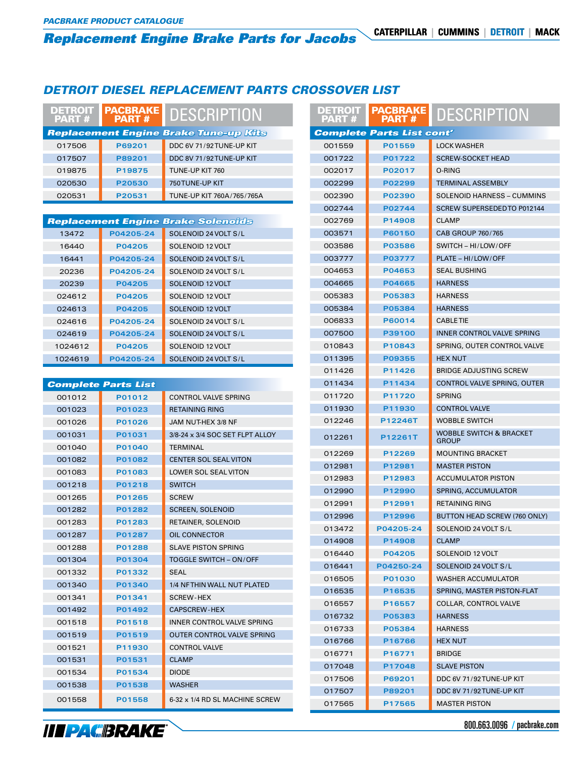# *Replacement Engine Brake Parts for Jacobs* **CATERPILLAR | CUMMINS | DETROIT | MACK**

## *DETROIT DIESEL REPLACEMENT PARTS CROSSOVER LIST*

| <b>DETROIT</b><br>PART # | <b>PACBRAKE</b><br><b>PART#</b> | <b>DESCRIPTION</b>                           | <b>DETROIT</b><br>PART # | <b>PACBRAKE</b><br><b>PART#</b>  | <b>DESCRIPTION</b>                                 |  |
|--------------------------|---------------------------------|----------------------------------------------|--------------------------|----------------------------------|----------------------------------------------------|--|
|                          |                                 | <b>Replacement Engine Brake Tune-up Kits</b> |                          | <b>Complete Parts List cont'</b> |                                                    |  |
| 017506                   | P69201                          | DDC 6V 71/92 TUNE-UP KIT                     | 001559                   | P01559                           | <b>LOCK WASHER</b>                                 |  |
| 017507                   | P89201                          | DDC 8V 71/92 TUNE-UP KIT                     | 001722                   | P01722                           | <b>SCREW-SOCKET HEAD</b>                           |  |
| 019875                   | P19875                          | TUNE-UP KIT 760                              | 002017                   | P02017                           | O-RING                                             |  |
| 020530                   | P20530                          | 750 TUNE-UP KIT                              | 002299                   | P02299                           | <b>TERMINAL ASSEMBLY</b>                           |  |
| 020531                   | P20531                          | TUNE-UP KIT 760A/765/765A                    | 002390                   | P02390                           | SOLENOID HARNESS - CUMMINS                         |  |
|                          |                                 |                                              | 002744                   | P02744                           | SCREW SUPERSEDED TO P012144                        |  |
|                          |                                 | <b>Replacement Engine Brake Solenoids</b>    | 002769                   | P14908                           | <b>CLAMP</b>                                       |  |
| 13472                    | P04205-24                       | SOLENOID 24 VOLT S/L                         | 003571                   | P60150                           | CAB GROUP 760/765                                  |  |
| 16440                    | P04205                          | SOLENOID 12 VOLT                             | 003586                   | <b>P03586</b>                    | SWITCH - HI/LOW/OFF                                |  |
| 16441                    | P04205-24                       | SOLENOID 24 VOLT S/L                         | 003777                   | P03777                           | PLATE - HI/LOW/OFF                                 |  |
| 20236                    | P04205-24                       | SOLENOID 24 VOLT S/L                         | 004653                   | P04653                           | <b>SEAL BUSHING</b>                                |  |
| 20239                    | P04205                          | SOLENOID 12 VOLT                             | 004665                   | P04665                           | <b>HARNESS</b>                                     |  |
| 024612                   | P04205                          | SOLENOID 12 VOLT                             | 005383                   | P05383                           | <b>HARNESS</b>                                     |  |
| 024613                   | P04205                          | <b>SOLENOID 12 VOLT</b>                      | 005384                   | P05384                           | <b>HARNESS</b>                                     |  |
| 024616                   | P04205-24                       | SOLENOID 24 VOLT S/L                         | 006833                   | <b>P60014</b>                    | <b>CABLETIE</b>                                    |  |
| 024619                   | P04205-24                       | SOLENOID 24 VOLT S/L                         | 007500                   | P39100                           | INNER CONTROL VALVE SPRING                         |  |
| 1024612                  | P04205                          | SOLENOID 12 VOLT                             | 010843                   | P10843                           | SPRING, OUTER CONTROL VALVE                        |  |
| 1024619                  | P04205-24                       | SOLENOID 24 VOLT S/L                         | 011395                   | P09355                           | <b>HEX NUT</b>                                     |  |
|                          |                                 |                                              | 011426                   | P11426                           | <b>BRIDGE ADJUSTING SCREW</b>                      |  |
|                          | <b>Complete Parts List</b>      |                                              | 011434                   | P11434                           | CONTROL VALVE SPRING, OUTER                        |  |
| 001012                   | P01012                          | <b>CONTROL VALVE SPRING</b>                  | 011720                   | P11720                           | <b>SPRING</b>                                      |  |
| 001023                   | P01023                          | <b>RETAINING RING</b>                        | 011930                   | P11930                           | <b>CONTROL VALVE</b>                               |  |
| 001026                   | P01026                          | JAM NUT-HEX 3/8 NF                           | 012246                   | P12246T                          | <b>WOBBLE SWITCH</b>                               |  |
| 001031                   | P01031                          | 3/8-24 x 3/4 SOC SET FLPT ALLOY              | 012261                   | P12261T                          | <b>WOBBLE SWITCH &amp; BRACKET</b><br><b>GROUP</b> |  |
| 001040                   | P01040                          | <b>TERMINAL</b>                              | 012269                   | P12269                           | <b>MOUNTING BRACKET</b>                            |  |
| 001082                   | P01082                          | <b>CENTER SOL SEAL VITON</b>                 | 012981                   | P12981                           | <b>MASTER PISTON</b>                               |  |
| 001083                   | P01083                          | LOWER SOL SEAL VITON                         | 012983                   | P12983                           | <b>ACCUMULATOR PISTON</b>                          |  |
| 001218                   | P01218                          | <b>SWITCH</b>                                | 012990                   | P12990                           | SPRING, ACCUMULATOR                                |  |
| 001265                   | P01265                          | <b>SCREW</b>                                 | 012991                   | P12991                           | <b>RETAINING RING</b>                              |  |
| 001282                   | P01282                          | <b>SCREEN, SOLENOID</b>                      | 012996                   | P12996                           | BUTTON HEAD SCREW (760 ONLY)                       |  |
| 001283                   | P01283                          | RETAINER, SOLENOID                           | 013472                   | P04205-24                        | SOLENOID 24 VOLT S/L                               |  |
| 001287                   | P01287                          | OIL CONNECTOR                                | 014908                   | P14908                           | <b>CLAMP</b>                                       |  |
| 001288                   | P01288                          | <b>SLAVE PISTON SPRING</b>                   | 016440                   | P04205                           | SOLENOID 12 VOLT                                   |  |
| 001304                   | P01304                          | TOGGLE SWITCH - ON/OFF                       | 016441                   | P04250-24                        | SOLENOID 24 VOLT S/L                               |  |
| 001332                   | P01332                          | <b>SEAL</b>                                  | 016505                   | P01030                           | <b>WASHER ACCUMULATOR</b>                          |  |
| 001340                   | P01340                          | 1/4 NFTHIN WALL NUT PLATED                   | 016535                   | P16535                           | SPRING, MASTER PISTON-FLAT                         |  |
| 001341                   | P01341                          | SCREW-HEX                                    | 016557                   | P16557                           | COLLAR, CONTROL VALVE                              |  |
| 001492                   | P01492                          | CAPSCREW-HEX                                 | 016732                   | P05383                           | <b>HARNESS</b>                                     |  |
| 001518                   | P01518                          | INNER CONTROL VALVE SPRING                   | 016733                   | P05384                           | <b>HARNESS</b>                                     |  |
| 001519                   | P01519                          | OUTER CONTROL VALVE SPRING                   | 016766                   | P16766                           | <b>HEX NUT</b>                                     |  |
| 001521                   | P11930                          | <b>CONTROL VALVE</b>                         | 016771                   | P16771                           | <b>BRIDGE</b>                                      |  |
| 001531                   | P01531                          | <b>CLAMP</b>                                 | 017048                   | P17048                           | <b>SLAVE PISTON</b>                                |  |
| 001534                   | P01534                          | <b>DIODE</b>                                 | 017506                   | P69201                           | DDC 6V 71/92TUNE-UP KIT                            |  |
| 001538                   | P01538                          | WASHER                                       | 017507                   | P89201                           | DDC 8V 71/92TUNE-UP KIT                            |  |
| 001558                   | P01558                          | 6-32 x 1/4 RD SL MACHINE SCREW               | 017565                   | P17565                           | <b>MASTER PISTON</b>                               |  |



800.663.0096 / pacbrake.com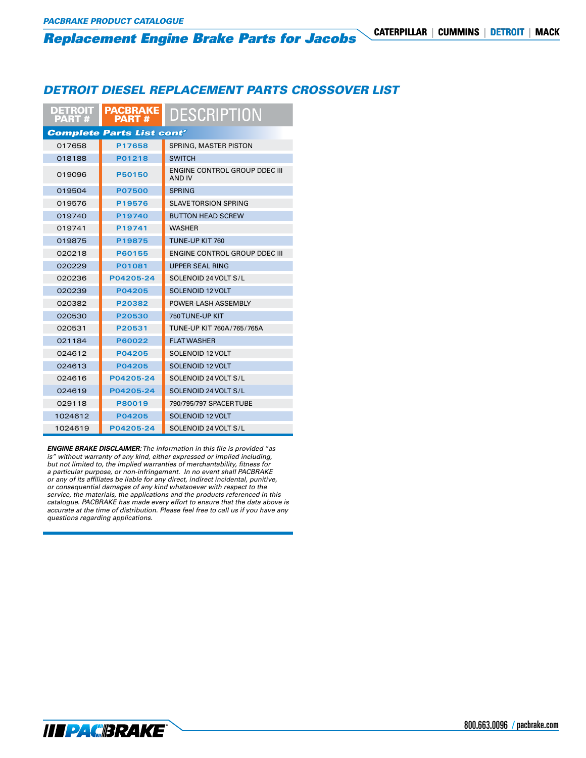#### *Replacement Engine Brake Parts for Jacobs* **CATERPILLAR | CUMMINS | DETROIT | MACK**

#### *DETROIT DIESEL REPLACEMENT PARTS CROSSOVER LIST*

| <b>DETROIT I</b><br><b>PART#</b> | <b>PACBRAKE</b><br><b>PART#</b>  | <b>DESCRIPTION</b>                             |
|----------------------------------|----------------------------------|------------------------------------------------|
|                                  | <b>Complete Parts List cont'</b> |                                                |
| 017658                           | P17658                           | SPRING, MASTER PISTON                          |
| 018188                           | P01218                           | <b>SWITCH</b>                                  |
| 019096                           | P50150                           | <b>ENGINE CONTROL GROUP DDEC III</b><br>AND IV |
| 019504                           | <b>P07500</b>                    | <b>SPRING</b>                                  |
| 019576                           | P19576                           | SLAVE TORSION SPRING                           |
| 019740                           | P19740                           | <b>BUTTON HEAD SCREW</b>                       |
| 019741                           | P19741                           | <b>WASHER</b>                                  |
| 019875                           | P19875                           | TUNE-UP KIT 760                                |
| 020218                           | P60155                           | ENGINE CONTROL GROUP DDEC III                  |
| 020229                           | P01081                           | <b>UPPER SEAL RING</b>                         |
| 020236                           | P04205-24                        | SOLENOID 24 VOLT S/L                           |
| 020239                           | P04205                           | SOLENOID 12 VOLT                               |
| 020382                           | P20382                           | POWER-LASH ASSEMBLY                            |
| 020530                           | P20530                           | 750TUNE-UP KIT                                 |
| 020531                           | P20531                           | TUNE-UP KIT 760A/765/765A                      |
| 021184                           | P60022                           | <b>FLAT WASHER</b>                             |
| 024612                           | P04205                           | SOLENOID 12 VOLT                               |
| 024613                           | P04205                           | SOLENOID 12 VOLT                               |
| 024616                           | P04205-24                        | SOLENOID 24 VOLT S/L                           |
| 024619                           | P04205-24                        | SOLENOID 24 VOLT S/L                           |
| 029118                           | P80019                           | 790/795/797 SPACERTUBE                         |
| 1024612                          | P04205                           | SOLENOID 12 VOLT                               |
| 1024619                          | P04205-24                        | SOLENOID 24 VOLT S/L                           |

*ENGINE BRAKE DISCLAIMER: The information in this file is provided "as is" without warranty of any kind, either expressed or implied including, but not limited to, the implied warranties of merchantability, fitness for a particular purpose, or non-infringement. In no event shall PACBRAKE or any of its affiliates be liable for any direct, indirect incidental, punitive, or consequential damages of any kind whatsoever with respect to the service, the materials, the applications and the products referenced in this catalogue. PACBRAKE has made every effort to ensure that the data above is accurate at the time of distribution. Please feel free to call us if you have any questions regarding applications.*